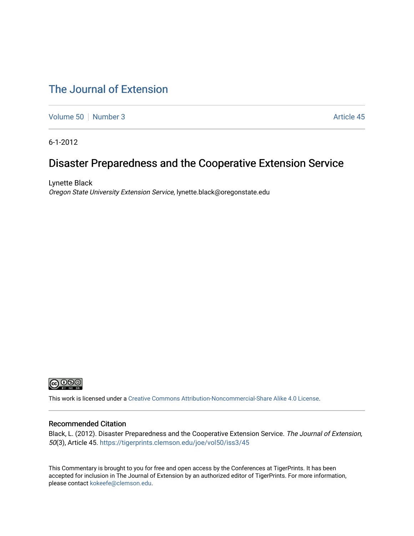# [The Journal of Extension](https://tigerprints.clemson.edu/joe)

[Volume 50](https://tigerprints.clemson.edu/joe/vol50) [Number 3](https://tigerprints.clemson.edu/joe/vol50/iss3) Article 45

6-1-2012

# Disaster Preparedness and the Cooperative Extension Service

Lynette Black Oregon State University Extension Service, lynette.black@oregonstate.edu



This work is licensed under a [Creative Commons Attribution-Noncommercial-Share Alike 4.0 License.](https://creativecommons.org/licenses/by-nc-sa/4.0/)

#### Recommended Citation

Black, L. (2012). Disaster Preparedness and the Cooperative Extension Service. The Journal of Extension, 50(3), Article 45. <https://tigerprints.clemson.edu/joe/vol50/iss3/45>

This Commentary is brought to you for free and open access by the Conferences at TigerPrints. It has been accepted for inclusion in The Journal of Extension by an authorized editor of TigerPrints. For more information, please contact [kokeefe@clemson.edu](mailto:kokeefe@clemson.edu).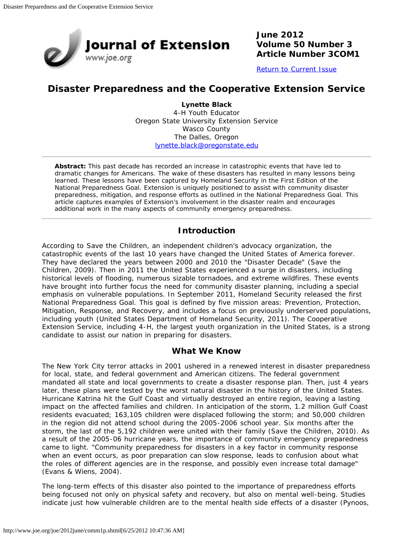

**June 2012 Volume 50 Number 3 Article Number 3COM1**

[Return to Current Issue](http://www.joe.org/joe/2012june/)

### **Disaster Preparedness and the Cooperative Extension Service**

**Lynette Black** 4-H Youth Educator Oregon State University Extension Service Wasco County The Dalles, Oregon [lynette.black@oregonstate.edu](mailto:lynette.black@oregonstate.edu)

*Abstract: This past decade has recorded an increase in catastrophic events that have led to dramatic changes for Americans. The wake of these disasters has resulted in many lessons being learned. These lessons have been captured by Homeland Security in the First Edition of the National Preparedness Goal. Extension is uniquely positioned to assist with community disaster preparedness, mitigation, and response efforts as outlined in the National Preparedness Goal. This article captures examples of Extension's involvement in the disaster realm and encourages additional work in the many aspects of community emergency preparedness.*

#### **Introduction**

According to Save the Children, an independent children's advocacy organization, the catastrophic events of the last 10 years have changed the United States of America forever. They have declared the years between 2000 and 2010 the "Disaster Decade" (Save the Children, 2009). Then in 2011 the United States experienced a surge in disasters, including historical levels of flooding, numerous sizable tornadoes, and extreme wildfires. These events have brought into further focus the need for community disaster planning, including a special emphasis on vulnerable populations. In September 2011, Homeland Security released the first National Preparedness Goal. This goal is defined by five mission areas: Prevention, Protection, Mitigation, Response, and Recovery, and includes a focus on previously underserved populations, including youth (United States Department of Homeland Security, 2011). The Cooperative Extension Service, including 4-H, the largest youth organization in the United States, is a strong candidate to assist our nation in preparing for disasters.

#### **What We Know**

The New York City terror attacks in 2001 ushered in a renewed interest in disaster preparedness for local, state, and federal government and American citizens. The federal government mandated all state and local governments to create a disaster response plan. Then, just 4 years later, these plans were tested by the worst natural disaster in the history of the United States. Hurricane Katrina hit the Gulf Coast and virtually destroyed an entire region, leaving a lasting impact on the affected families and children. In anticipation of the storm, 1.2 million Gulf Coast residents evacuated; 163,105 children were displaced following the storm; and 50,000 children in the region did not attend school during the 2005-2006 school year. Six months after the storm, the last of the 5,192 children were united with their family (Save the Children, 2010). As a result of the 2005-06 hurricane years, the importance of community emergency preparedness came to light. "Community preparedness for disasters in a key factor in community response when an event occurs, as poor preparation can slow response, leads to confusion about what the roles of different agencies are in the response, and possibly even increase total damage" (Evans & Wiens, 2004).

The long-term effects of this disaster also pointed to the importance of preparedness efforts being focused not only on physical safety and recovery, but also on mental well-being. Studies indicate just how vulnerable children are to the mental health side effects of a disaster (Pynoos,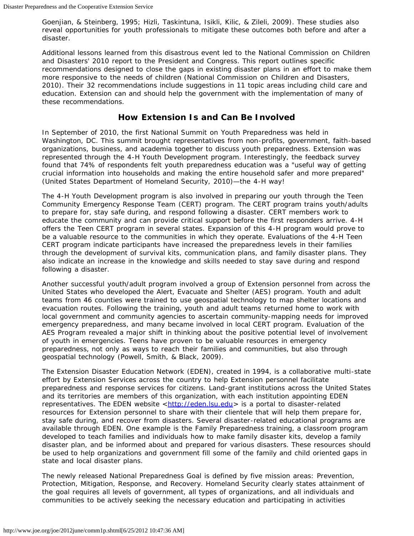Goenjian, & Steinberg, 1995; Hizli, Taskintuna, Isikli, Kilic, & Zileli, 2009). These studies also reveal opportunities for youth professionals to mitigate these outcomes both before and after a disaster.

Additional lessons learned from this disastrous event led to the National Commission on Children and Disasters' 2010 report to the President and Congress. This report outlines specific recommendations designed to close the gaps in existing disaster plans in an effort to make them more responsive to the needs of children (National Commission on Children and Disasters, 2010). Their 32 recommendations include suggestions in 11 topic areas including child care and education. Extension can and should help the government with the implementation of many of these recommendations.

### **How Extension Is and Can Be Involved**

In September of 2010, the first National Summit on Youth Preparedness was held in Washington, DC. This summit brought representatives from non-profits, government, faith-based organizations, business, and academia together to discuss youth preparedness. Extension was represented through the 4-H Youth Development program. Interestingly, the feedback survey found that 74% of respondents felt youth preparedness education was a "useful way of getting crucial information into households and making the entire household safer and more prepared" (United States Department of Homeland Security, 2010)—the 4-H way!

The 4-H Youth Development program is also involved in preparing our youth through the Teen Community Emergency Response Team (CERT) program. The CERT program trains youth/adults to prepare for, stay safe during, and respond following a disaster. CERT members work to educate the community and can provide critical support before the first responders arrive. 4-H offers the Teen CERT program in several states. Expansion of this 4-H program would prove to be a valuable resource to the communities in which they operate. Evaluations of the 4-H Teen CERT program indicate participants have increased the preparedness levels in their families through the development of survival kits, communication plans, and family disaster plans. They also indicate an increase in the knowledge and skills needed to stay save during and respond following a disaster.

Another successful youth/adult program involved a group of Extension personnel from across the United States who developed the Alert, Evacuate and Shelter (AES) program. Youth and adult teams from 46 counties were trained to use geospatial technology to map shelter locations and evacuation routes. Following the training, youth and adult teams returned home to work with local government and community agencies to ascertain community-mapping needs for improved emergency preparedness, and many became involved in local CERT program. Evaluation of the AES Program revealed a major shift in thinking about the positive potential level of involvement of youth in emergencies. Teens have proven to be valuable resources in emergency preparedness, not only as ways to reach their families and communities, but also through geospatial technology (Powell, Smith, & Black, 2009).

The Extension Disaster Education Network (EDEN), created in 1994, is a collaborative multi-state effort by Extension Services across the country to help Extension personnel facilitate preparedness and response services for citizens. Land-grant institutions across the United States and its territories are members of this organization, with each institution appointing EDEN representatives. The EDEN website <[http://eden.lsu.edu>](http://eden.lsu.edu/) is a portal to disaster-related resources for Extension personnel to share with their clientele that will help them prepare for, stay safe during, and recover from disasters. Several disaster-related educational programs are available through EDEN. One example is the Family Preparedness training, a classroom program developed to teach families and individuals how to make family disaster kits, develop a family disaster plan, and be informed about and prepared for various disasters. These resources should be used to help organizations and government fill some of the family and child oriented gaps in state and local disaster plans.

The newly released National Preparedness Goal is defined by five mission areas: Prevention, Protection, Mitigation, Response, and Recovery. Homeland Security clearly states attainment of the goal requires all levels of government, all types of organizations, and all individuals and communities to be actively seeking the necessary education and participating in activities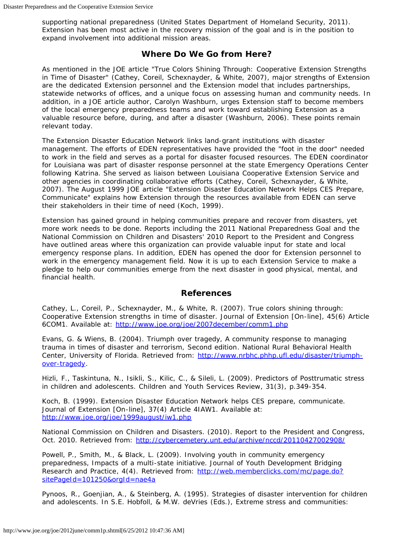supporting national preparedness (United States Department of Homeland Security, 2011). Extension has been most active in the recovery mission of the goal and is in the position to expand involvement into additional mission areas.

### **Where Do We Go from Here?**

As mentioned in the *JOE* article "True Colors Shining Through: Cooperative Extension Strengths in Time of Disaster" (Cathey, Coreil, Schexnayder, & White, 2007), major strengths of Extension are the dedicated Extension personnel and the Extension model that includes partnerships, statewide networks of offices, and a unique focus on assessing human and community needs. In addition, in a *JOE* article author, Carolyn Washburn, urges Extension staff to become members of the local emergency preparedness teams and work toward establishing Extension as a valuable resource before, during, and after a disaster (Washburn, 2006). These points remain relevant today.

The Extension Disaster Education Network links land-grant institutions with disaster management. The efforts of EDEN representatives have provided the "foot in the door" needed to work in the field and serves as a portal for disaster focused resources. The EDEN coordinator for Louisiana was part of disaster response personnel at the state Emergency Operations Center following Katrina. She served as liaison between Louisiana Cooperative Extension Service and other agencies in coordinating collaborative efforts (Cathey, Coreil, Schexnayder, & White, 2007). The August 1999 *JOE* article "Extension Disaster Education Network Helps CES Prepare, Communicate" explains how Extension through the resources available from EDEN can serve their stakeholders in their time of need (Koch, 1999).

Extension has gained ground in helping communities prepare and recover from disasters, yet more work needs to be done. Reports including the 2011 National Preparedness Goal and the National Commission on Children and Disasters' 2010 Report to the President and Congress have outlined areas where this organization can provide valuable input for state and local emergency response plans. In addition, EDEN has opened the door for Extension personnel to work in the emergency management field. Now it is up to each Extension Service to make a pledge to help our communities emerge from the next disaster in good physical, mental, and financial health.

#### **References**

Cathey, L., Coreil, P., Schexnayder, M., & White, R. (2007). True colors shining through: Cooperative Extension strengths in time of disaster. *Journal of Extension* [On-line], 45(6) Article 6COM1. Available at: <http://www.joe.org/joe/2007december/comm1.php>

Evans, G. & Wiens, B. (2004). *Triumph over tragedy, A community response to managing trauma in times of disaster and terrorism, Second edition*. National Rural Behavioral Health Center, University of Florida. Retrieved from: [http://www.nrbhc.phhp.ufl.edu/disaster/triumph](http://www.nrbhc.phhp.ufl.edu/disaster/triumph-over-tragedy/)[over-tragedy.](http://www.nrbhc.phhp.ufl.edu/disaster/triumph-over-tragedy/)

Hizli, F., Taskintuna, N., Isikli, S., Kilic, C., & Sileli, L. (2009). Predictors of Posttrumatic stress in children and adolescents. *Children and Youth Services Review*, 31(3), p.349-354.

Koch, B. (1999). Extension Disaster Education Network helps CES prepare, communicate. *Journal of Extension* [On-line], 37(4) Article 4IAW1. Available at: <http://www.joe.org/joe/1999august/iw1.php>

National Commission on Children and Disasters. (*2010).* Report to the President and Congress, Oct. 2010. Retrieved from: <http://cybercemetery.unt.edu/archive/nccd/20110427002908/>

Powell, P., Smith, M., & Black, L. (2009). Involving youth in community emergency preparedness, Impacts of a multi-state initiative. *Journal of Youth Development Bridging Research and Practice*, 4(4). Retrieved from: [http://web.memberclicks.com/mc/page.do?](http://web.memberclicks.com/mc/page.do?sitePageId=101250&orgId=nae4a) [sitePageId=101250&orgId=nae4a](http://web.memberclicks.com/mc/page.do?sitePageId=101250&orgId=nae4a)

Pynoos, R., Goenjian, A., & Steinberg, A. (1995). Strategies of disaster intervention for children and adolescents. In S.E. Hobfoll, & M.W. deVries (Eds.), *Extreme stress and communities:*